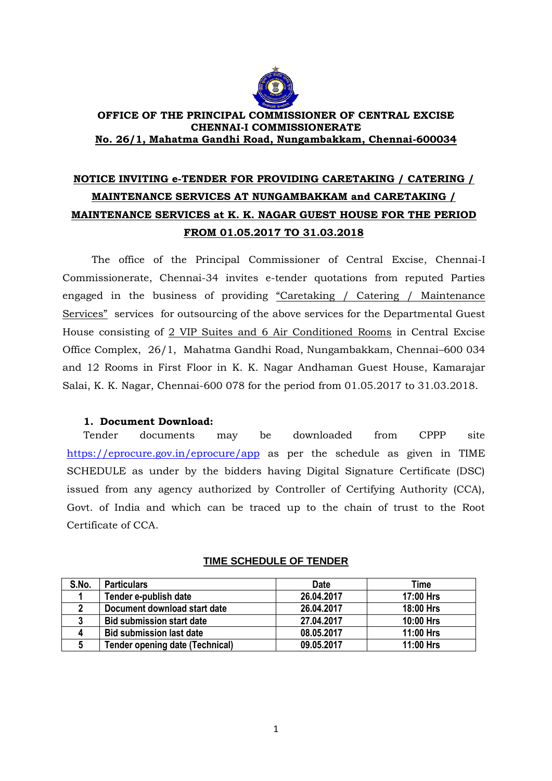

#### **OFFICE OF THE PRINCIPAL COMMISSIONER OF CENTRAL EXCISE CHENNAI-I COMMISSIONERATE No. 26/1, Mahatma Gandhi Road, Nungambakkam, Chennai-600034**

# **NOTICE INVITING e-TENDER FOR PROVIDING CARETAKING / CATERING / MAINTENANCE SERVICES AT NUNGAMBAKKAM and CARETAKING / MAINTENANCE SERVICES at K. K. NAGAR GUEST HOUSE FOR THE PERIOD FROM 01.05.2017 TO 31.03.2018**

The office of the Principal Commissioner of Central Excise, Chennai-I Commissionerate, Chennai-34 invites e-tender quotations from reputed Parties engaged in the business of providing "Caretaking / Catering / Maintenance Services" services for outsourcing of the above services for the Departmental Guest House consisting of 2 VIP Suites and 6 Air Conditioned Rooms in Central Excise Office Complex, 26/1, Mahatma Gandhi Road, Nungambakkam, Chennai–600 034 and 12 Rooms in First Floor in K. K. Nagar Andhaman Guest House, Kamarajar Salai, K. K. Nagar, Chennai-600 078 for the period from 01.05.2017 to 31.03.2018.

#### **1. Document Download:**

Tender documents may be downloaded from CPPP site <https://eprocure.gov.in/eprocure/app> as per the schedule as given in TIME SCHEDULE as under by the bidders having Digital Signature Certificate (DSC) issued from any agency authorized by Controller of Certifying Authority (CCA), Govt. of India and which can be traced up to the chain of trust to the Root Certificate of CCA.

| S.No. | <b>Particulars</b>                     | <b>Date</b> | Time      |
|-------|----------------------------------------|-------------|-----------|
|       | Tender e-publish date                  | 26.04.2017  | 17:00 Hrs |
| כי    | Document download start date           | 26.04.2017  | 18:00 Hrs |
| 3     | <b>Bid submission start date</b>       | 27.04.2017  | 10:00 Hrs |
|       | <b>Bid submission last date</b>        | 08.05.2017  | 11:00 Hrs |
|       | <b>Tender opening date (Technical)</b> | 09.05.2017  | 11:00 Hrs |

#### **TIME SCHEDULE OF TENDER**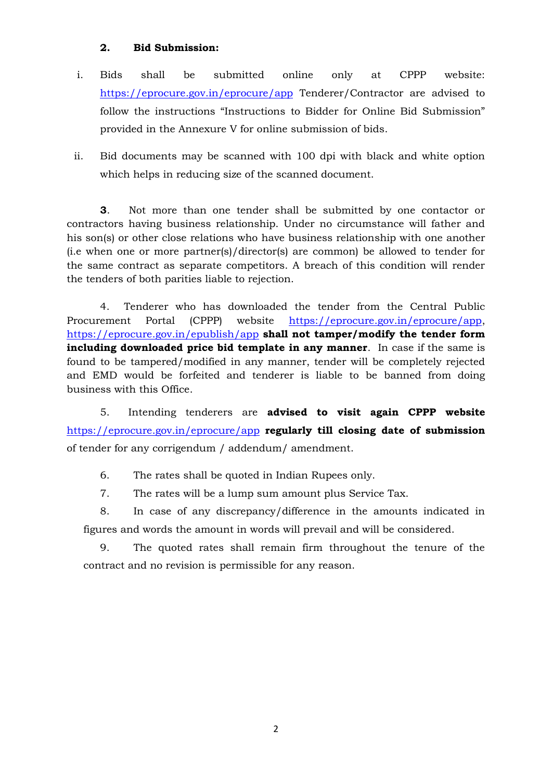### **2. Bid Submission:**

- i. Bids shall be submitted online only at CPPP website: <https://eprocure.gov.in/eprocure/app> Tenderer/Contractor are advised to follow the instructions "Instructions to Bidder for Online Bid Submission" provided in the Annexure V for online submission of bids.
- ii. Bid documents may be scanned with 100 dpi with black and white option which helps in reducing size of the scanned document.

**3**. Not more than one tender shall be submitted by one contactor or contractors having business relationship. Under no circumstance will father and his son(s) or other close relations who have business relationship with one another (i.e when one or more partner(s)/director(s) are common) be allowed to tender for the same contract as separate competitors. A breach of this condition will render the tenders of both parities liable to rejection.

4. Tenderer who has downloaded the tender from the Central Public Procurement Portal (CPPP) website [https://eprocure.gov.in/eprocure/app,](https://eprocure.gov.in/eprocure/app) <https://eprocure.gov.in/epublish/app> **shall not tamper/modify the tender form including downloaded price bid template in any manner**. In case if the same is found to be tampered/modified in any manner, tender will be completely rejected and EMD would be forfeited and tenderer is liable to be banned from doing business with this Office.

5. Intending tenderers are **advised to visit again CPPP website** <https://eprocure.gov.in/eprocure/app> **regularly till closing date of submission** of tender for any corrigendum / addendum/ amendment.

6. The rates shall be quoted in Indian Rupees only.

7. The rates will be a lump sum amount plus Service Tax.

8. In case of any discrepancy/difference in the amounts indicated in figures and words the amount in words will prevail and will be considered.

9. The quoted rates shall remain firm throughout the tenure of the contract and no revision is permissible for any reason.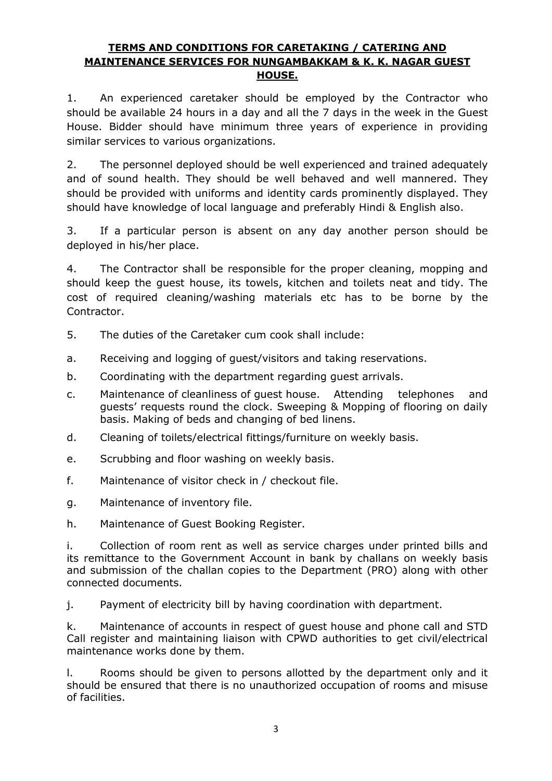# **TERMS AND CONDITIONS FOR CARETAKING / CATERING AND MAINTENANCE SERVICES FOR NUNGAMBAKKAM & K. K. NAGAR GUEST HOUSE.**

1. An experienced caretaker should be employed by the Contractor who should be available 24 hours in a day and all the 7 days in the week in the Guest House. Bidder should have minimum three years of experience in providing similar services to various organizations.

2. The personnel deployed should be well experienced and trained adequately and of sound health. They should be well behaved and well mannered. They should be provided with uniforms and identity cards prominently displayed. They should have knowledge of local language and preferably Hindi & English also.

3. If a particular person is absent on any day another person should be deployed in his/her place.

4. The Contractor shall be responsible for the proper cleaning, mopping and should keep the guest house, its towels, kitchen and toilets neat and tidy. The cost of required cleaning/washing materials etc has to be borne by the Contractor.

- 5. The duties of the Caretaker cum cook shall include:
- a. Receiving and logging of guest/visitors and taking reservations.
- b. Coordinating with the department regarding guest arrivals.
- c. Maintenance of cleanliness of guest house. Attending telephones and guests' requests round the clock. Sweeping & Mopping of flooring on daily basis. Making of beds and changing of bed linens.
- d. Cleaning of toilets/electrical fittings/furniture on weekly basis.
- e. Scrubbing and floor washing on weekly basis.
- f. Maintenance of visitor check in / checkout file.
- g. Maintenance of inventory file.

h. Maintenance of Guest Booking Register.

i. Collection of room rent as well as service charges under printed bills and its remittance to the Government Account in bank by challans on weekly basis and submission of the challan copies to the Department (PRO) along with other connected documents.

j. Payment of electricity bill by having coordination with department.

k. Maintenance of accounts in respect of guest house and phone call and STD Call register and maintaining liaison with CPWD authorities to get civil/electrical maintenance works done by them.

l. Rooms should be given to persons allotted by the department only and it should be ensured that there is no unauthorized occupation of rooms and misuse of facilities.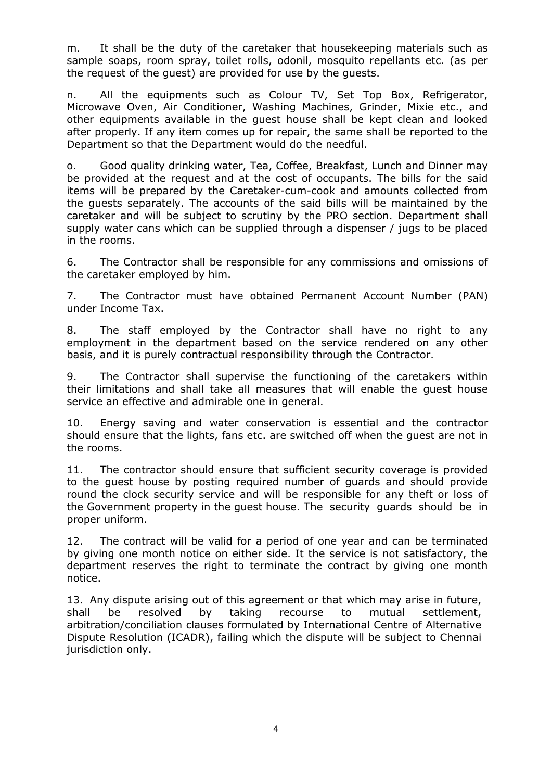m. It shall be the duty of the caretaker that housekeeping materials such as sample soaps, room spray, toilet rolls, odonil, mosquito repellants etc. (as per the request of the guest) are provided for use by the guests.

n. All the equipments such as Colour TV, Set Top Box, Refrigerator, Microwave Oven, Air Conditioner, Washing Machines, Grinder, Mixie etc., and other equipments available in the guest house shall be kept clean and looked after properly. If any item comes up for repair, the same shall be reported to the Department so that the Department would do the needful.

o. Good quality drinking water, Tea, Coffee, Breakfast, Lunch and Dinner may be provided at the request and at the cost of occupants. The bills for the said items will be prepared by the Caretaker-cum-cook and amounts collected from the guests separately. The accounts of the said bills will be maintained by the caretaker and will be subject to scrutiny by the PRO section. Department shall supply water cans which can be supplied through a dispenser / jugs to be placed in the rooms.

6. The Contractor shall be responsible for any commissions and omissions of the caretaker employed by him.

7. The Contractor must have obtained Permanent Account Number (PAN) under Income Tax.

8. The staff employed by the Contractor shall have no right to any employment in the department based on the service rendered on any other basis, and it is purely contractual responsibility through the Contractor.

9. The Contractor shall supervise the functioning of the caretakers within their limitations and shall take all measures that will enable the guest house service an effective and admirable one in general.

10. Energy saving and water conservation is essential and the contractor should ensure that the lights, fans etc. are switched off when the guest are not in the rooms.

11. The contractor should ensure that sufficient security coverage is provided to the guest house by posting required number of guards and should provide round the clock security service and will be responsible for any theft or loss of the Government property in the guest house. The security guards should be in proper uniform.

12. The contract will be valid for a period of one year and can be terminated by giving one month notice on either side. It the service is not satisfactory, the department reserves the right to terminate the contract by giving one month notice.

13. Any dispute arising out of this agreement or that which may arise in future, shall be resolved by taking recourse to mutual settlement, arbitration/conciliation clauses formulated by International Centre of Alternative Dispute Resolution (ICADR), failing which the dispute will be subject to Chennai jurisdiction only.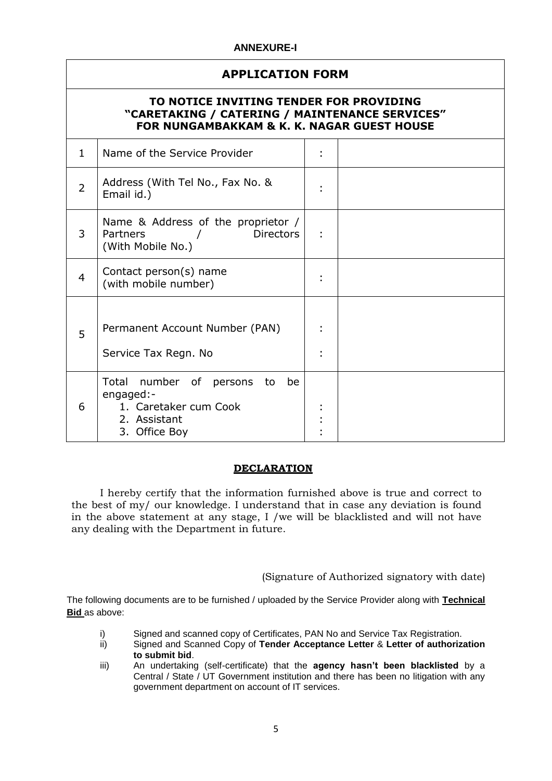### **ANNEXURE-I**

# **APPLICATION FORM**

### **TO NOTICE INVITING TENDER FOR PROVIDING "CARETAKING / CATERING / MAINTENANCE SERVICES" FOR NUNGAMBAKKAM & K. K. NAGAR GUEST HOUSE**

| $\mathbf{1}$ | Name of the Service Provider                                                                               |   |  |  |  |  |
|--------------|------------------------------------------------------------------------------------------------------------|---|--|--|--|--|
| 2            | Address (With Tel No., Fax No. &<br>Email id.)                                                             | ÷ |  |  |  |  |
| 3            | Name & Address of the proprietor /<br>Partners<br><b>Directors</b><br>(With Mobile No.)                    |   |  |  |  |  |
| 4            | Contact person(s) name<br>(with mobile number)                                                             |   |  |  |  |  |
| 5            | Permanent Account Number (PAN)<br>Service Tax Regn. No                                                     | ٠ |  |  |  |  |
| 6            | Total number of persons<br>be<br>to<br>engaged:-<br>1. Caretaker cum Cook<br>2. Assistant<br>3. Office Boy |   |  |  |  |  |

#### **DECLARATION**

I hereby certify that the information furnished above is true and correct to the best of my/ our knowledge. I understand that in case any deviation is found in the above statement at any stage, I /we will be blacklisted and will not have any dealing with the Department in future.

(Signature of Authorized signatory with date)

The following documents are to be furnished / uploaded by the Service Provider along with **Technical Bid** as above:

- i) Signed and scanned copy of Certificates, PAN No and Service Tax Registration.
- ii) Signed and Scanned Copy of **Tender Acceptance Letter** & **Letter of authorization to submit bid**.
- iii) An undertaking (self-certificate) that the **agency hasn't been blacklisted** by a Central / State / UT Government institution and there has been no litigation with any government department on account of IT services.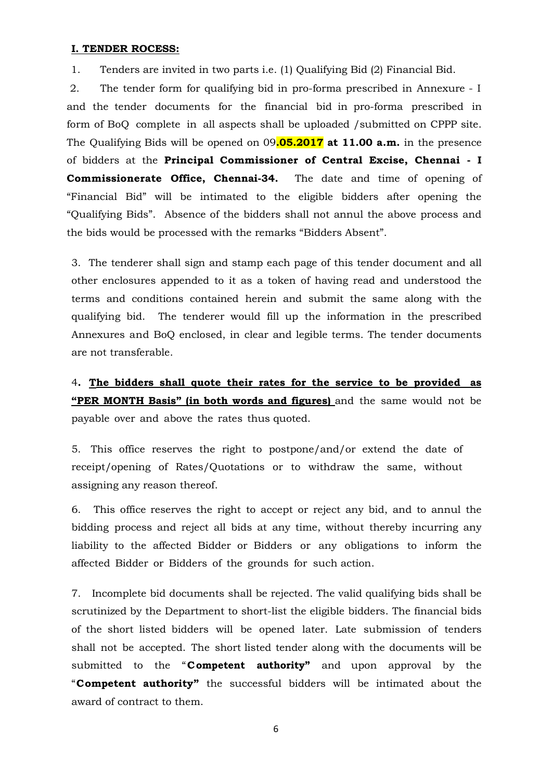#### **I. TENDER ROCESS:**

1. Tenders are invited in two parts i.e. (1) Qualifying Bid (2) Financial Bid.

2. The tender form for qualifying bid in pro-forma prescribed in Annexure - I and the tender documents for the financial bid in pro-forma prescribed in form of BoQ complete in all aspects shall be uploaded /submitted on CPPP site. The Qualifying Bids will be opened on 09**.05.2017 at 11.00 a.m.** in the presence of bidders at the **Principal Commissioner of Central Excise, Chennai - I Commissionerate Office, Chennai-34.** The date and time of opening of "Financial Bid" will be intimated to the eligible bidders after opening the "Qualifying Bids". Absence of the bidders shall not annul the above process and the bids would be processed with the remarks "Bidders Absent".

3. The tenderer shall sign and stamp each page of this tender document and all other enclosures appended to it as a token of having read and understood the terms and conditions contained herein and submit the same along with the qualifying bid. The tenderer would fill up the information in the prescribed Annexures and BoQ enclosed, in clear and legible terms. The tender documents are not transferable.

4**. The bidders shall quote their rates for the service to be provided as "PER MONTH Basis" (in both words and figures)** and the same would not be payable over and above the rates thus quoted.

5. This office reserves the right to postpone/and/or extend the date of receipt/opening of Rates/Quotations or to withdraw the same, without assigning any reason thereof.

6. This office reserves the right to accept or reject any bid, and to annul the bidding process and reject all bids at any time, without thereby incurring any liability to the affected Bidder or Bidders or any obligations to inform the affected Bidder or Bidders of the grounds for such action.

7. Incomplete bid documents shall be rejected. The valid qualifying bids shall be scrutinized by the Department to short-list the eligible bidders. The financial bids of the short listed bidders will be opened later. Late submission of tenders shall not be accepted. The short listed tender along with the documents will be submitted to the "**Competent authority"** and upon approval by the "**Competent authority"** the successful bidders will be intimated about the award of contract to them.

6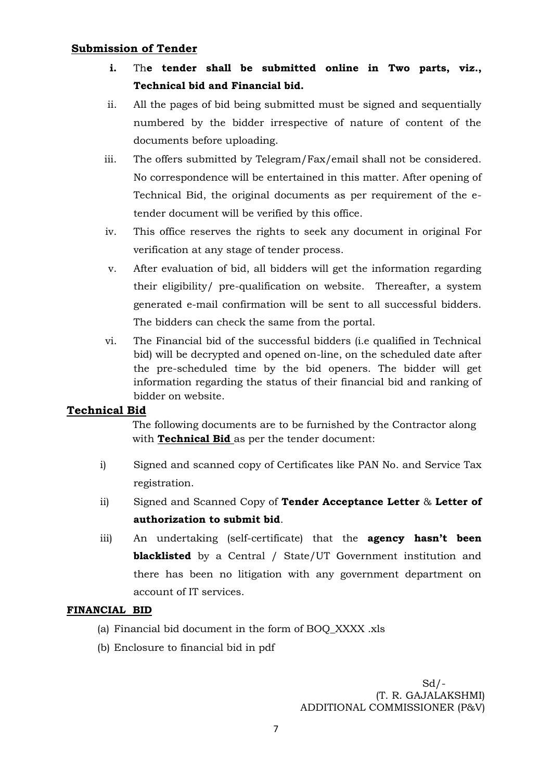# **Submission of Tender**

- **i.** Th**e tender shall be submitted online in Two parts, viz., Technical bid and Financial bid.**
- ii. All the pages of bid being submitted must be signed and sequentially numbered by the bidder irrespective of nature of content of the documents before uploading.
- iii. The offers submitted by Telegram/Fax/email shall not be considered. No correspondence will be entertained in this matter. After opening of Technical Bid, the original documents as per requirement of the etender document will be verified by this office.
- iv. This office reserves the rights to seek any document in original For verification at any stage of tender process.
- v. After evaluation of bid, all bidders will get the information regarding their eligibility/ pre-qualification on website. Thereafter, a system generated e-mail confirmation will be sent to all successful bidders. The bidders can check the same from the portal.
- vi. The Financial bid of the successful bidders (i.e qualified in Technical bid) will be decrypted and opened on-line, on the scheduled date after the pre-scheduled time by the bid openers. The bidder will get information regarding the status of their financial bid and ranking of bidder on website.

# **Technical Bid**

 The following documents are to be furnished by the Contractor along with **Technical Bid** as per the tender document:

- i) Signed and scanned copy of Certificates like PAN No. and Service Tax registration.
- ii) Signed and Scanned Copy of **Tender Acceptance Letter** & **Letter of authorization to submit bid**.
- iii) An undertaking (self-certificate) that the **agency hasn't been blacklisted** by a Central / State/UT Government institution and there has been no litigation with any government department on account of IT services.

# **FINANCIAL BID**

- (a) Financial bid document in the form of BOQ\_XXXX .xls
- (b) Enclosure to financial bid in pdf

 Sd/- (T. R. GAJALAKSHMI) ADDITIONAL COMMISSIONER (P&V)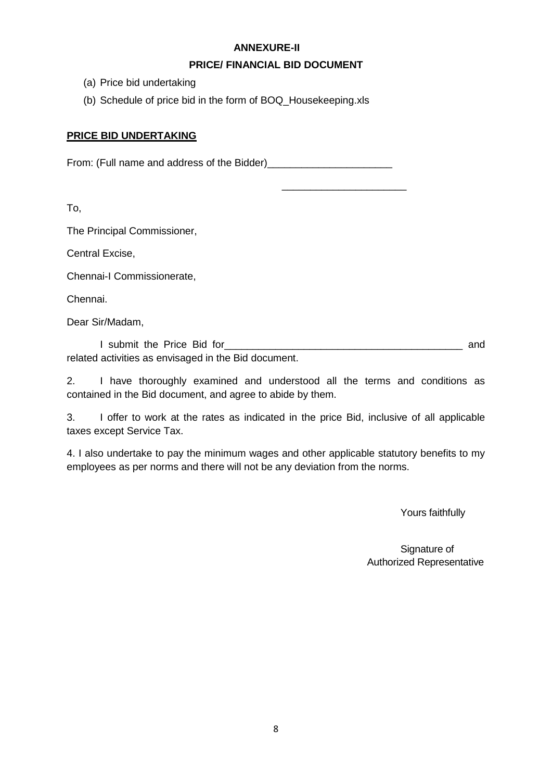### **ANNEXURE-II**

# **PRICE/ FINANCIAL BID DOCUMENT**

 $\frac{1}{2}$  ,  $\frac{1}{2}$  ,  $\frac{1}{2}$  ,  $\frac{1}{2}$  ,  $\frac{1}{2}$  ,  $\frac{1}{2}$  ,  $\frac{1}{2}$  ,  $\frac{1}{2}$  ,  $\frac{1}{2}$  ,  $\frac{1}{2}$  ,  $\frac{1}{2}$  ,  $\frac{1}{2}$  ,  $\frac{1}{2}$  ,  $\frac{1}{2}$  ,  $\frac{1}{2}$  ,  $\frac{1}{2}$  ,  $\frac{1}{2}$  ,  $\frac{1}{2}$  ,  $\frac{1$ 

- (a) Price bid undertaking
- (b) Schedule of price bid in the form of BOQ\_Housekeeping.xls

# **PRICE BID UNDERTAKING**

From: (Full name and address of the Bidder)\_\_\_\_\_\_\_\_\_\_\_\_\_\_\_\_\_\_\_\_\_\_

To,

The Principal Commissioner,

Central Excise,

Chennai-I Commissionerate,

Chennai.

Dear Sir/Madam,

I submit the Price Bid for\_\_\_\_\_\_\_\_\_\_\_\_\_\_\_\_\_\_\_\_\_\_\_\_\_\_\_\_\_\_\_\_\_\_\_\_\_\_\_\_\_\_ and related activities as envisaged in the Bid document.

2. I have thoroughly examined and understood all the terms and conditions as contained in the Bid document, and agree to abide by them.

3. I offer to work at the rates as indicated in the price Bid, inclusive of all applicable taxes except Service Tax.

4. I also undertake to pay the minimum wages and other applicable statutory benefits to my employees as per norms and there will not be any deviation from the norms.

Yours faithfully

Signature of Authorized Representative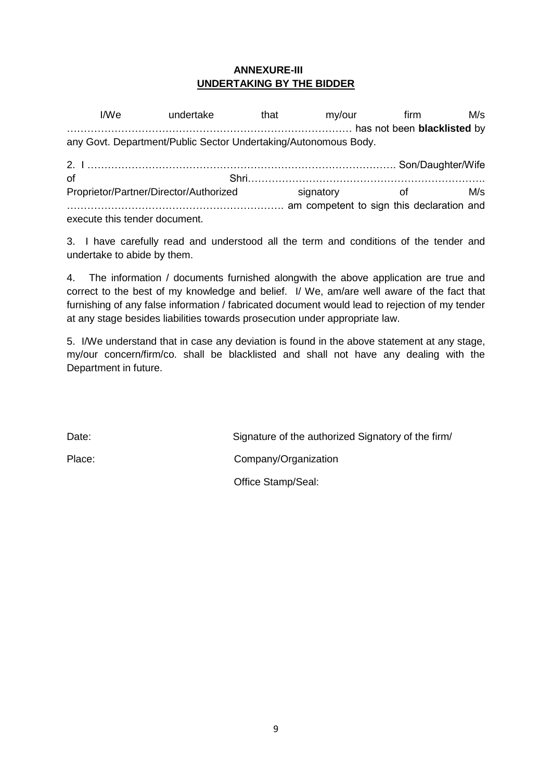### **ANNEXURE-III UNDERTAKING BY THE BIDDER**

| I/We                                                            | undertake                                                                                                       | that | my/our | firm | M/s |  |  |  |  |
|-----------------------------------------------------------------|-----------------------------------------------------------------------------------------------------------------|------|--------|------|-----|--|--|--|--|
|                                                                 | discussions and the been blacklisted by the settle of the settle settle of the settle settle settle set and the |      |        |      |     |  |  |  |  |
| any Govt. Department/Public Sector Undertaking/Autonomous Body. |                                                                                                                 |      |        |      |     |  |  |  |  |
|                                                                 |                                                                                                                 |      |        |      |     |  |  |  |  |

of Shri……………………………………………………………. Proprietor/Partner/Director/Authorized signatory of M/s ………………………………………………………. am competent to sign this declaration and execute this tender document.

3. I have carefully read and understood all the term and conditions of the tender and undertake to abide by them.

4. The information / documents furnished alongwith the above application are true and correct to the best of my knowledge and belief. I/ We, am/are well aware of the fact that furnishing of any false information / fabricated document would lead to rejection of my tender at any stage besides liabilities towards prosecution under appropriate law.

5. I/We understand that in case any deviation is found in the above statement at any stage, my/our concern/firm/co. shall be blacklisted and shall not have any dealing with the Department in future.

Date: Date: Signature of the authorized Signatory of the firm/ Place: Company/Organization Office Stamp/Seal: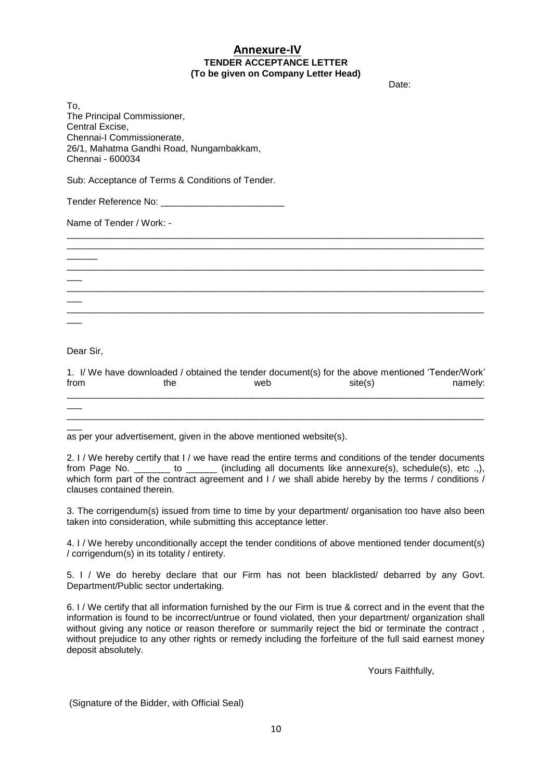#### **Annexure-IV TENDER ACCEPTANCE LETTER (To be given on Company Letter Head)**

discussion of the contract of the contract of the contract of the contract of the contract of the contract of the contract of the contract of the contract of the contract of the contract of the contract of the contract of

To, The Principal Commissioner, Central Excise, Chennai-I Commissionerate, 26/1, Mahatma Gandhi Road, Nungambakkam, Chennai - 600034

Sub: Acceptance of Terms & Conditions of Tender.

Tender Reference No:

Name of Tender / Work: -

Dear Sir,

 $\overline{\phantom{a}}$ 

 $\overline{\phantom{a}}$ 

 $\overline{\phantom{a}}$ 

 $\overline{\phantom{a}}$ 

 $\overline{\phantom{a}}$ 

 $\overline{\phantom{a}}$ 

1. I/ We have downloaded / obtained the tender document(s) for the above mentioned "Tender/Work" from the web site(s) namely: \_\_\_\_\_\_\_\_\_\_\_\_\_\_\_\_\_\_\_\_\_\_\_\_\_\_\_\_\_\_\_\_\_\_\_\_\_\_\_\_\_\_\_\_\_\_\_\_\_\_\_\_\_\_\_\_\_\_\_\_\_\_\_\_\_\_\_\_\_\_\_\_\_\_\_\_\_\_\_\_\_

\_\_\_\_\_\_\_\_\_\_\_\_\_\_\_\_\_\_\_\_\_\_\_\_\_\_\_\_\_\_\_\_\_\_\_\_\_\_\_\_\_\_\_\_\_\_\_\_\_\_\_\_\_\_\_\_\_\_\_\_\_\_\_\_\_\_\_\_\_\_\_\_\_\_\_\_\_\_\_\_\_

\_\_\_\_\_\_\_\_\_\_\_\_\_\_\_\_\_\_\_\_\_\_\_\_\_\_\_\_\_\_\_\_\_\_\_\_\_\_\_\_\_\_\_\_\_\_\_\_\_\_\_\_\_\_\_\_\_\_\_\_\_\_\_\_\_\_\_\_\_\_\_\_\_\_\_\_\_\_\_\_\_ \_\_\_\_\_\_\_\_\_\_\_\_\_\_\_\_\_\_\_\_\_\_\_\_\_\_\_\_\_\_\_\_\_\_\_\_\_\_\_\_\_\_\_\_\_\_\_\_\_\_\_\_\_\_\_\_\_\_\_\_\_\_\_\_\_\_\_\_\_\_\_\_\_\_\_\_\_\_\_\_\_

\_\_\_\_\_\_\_\_\_\_\_\_\_\_\_\_\_\_\_\_\_\_\_\_\_\_\_\_\_\_\_\_\_\_\_\_\_\_\_\_\_\_\_\_\_\_\_\_\_\_\_\_\_\_\_\_\_\_\_\_\_\_\_\_\_\_\_\_\_\_\_\_\_\_\_\_\_\_\_\_\_

\_\_\_\_\_\_\_\_\_\_\_\_\_\_\_\_\_\_\_\_\_\_\_\_\_\_\_\_\_\_\_\_\_\_\_\_\_\_\_\_\_\_\_\_\_\_\_\_\_\_\_\_\_\_\_\_\_\_\_\_\_\_\_\_\_\_\_\_\_\_\_\_\_\_\_\_\_\_\_\_\_

\_\_\_\_\_\_\_\_\_\_\_\_\_\_\_\_\_\_\_\_\_\_\_\_\_\_\_\_\_\_\_\_\_\_\_\_\_\_\_\_\_\_\_\_\_\_\_\_\_\_\_\_\_\_\_\_\_\_\_\_\_\_\_\_\_\_\_\_\_\_\_\_\_\_\_\_\_\_\_\_\_

as per your advertisement, given in the above mentioned website(s).

2. I / We hereby certify that I / we have read the entire terms and conditions of the tender documents from Page No. \_\_\_\_\_\_\_ to \_\_\_\_\_\_ (including all documents like annexure(s), schedule(s), etc .,), which form part of the contract agreement and I / we shall abide hereby by the terms / conditions / clauses contained therein.

3. The corrigendum(s) issued from time to time by your department/ organisation too have also been taken into consideration, while submitting this acceptance letter.

4. I / We hereby unconditionally accept the tender conditions of above mentioned tender document(s) / corrigendum(s) in its totality / entirety.

5. I / We do hereby declare that our Firm has not been blacklisted/ debarred by any Govt. Department/Public sector undertaking.

6. I / We certify that all information furnished by the our Firm is true & correct and in the event that the information is found to be incorrect/untrue or found violated, then your department/ organization shall without giving any notice or reason therefore or summarily reject the bid or terminate the contract , without prejudice to any other rights or remedy including the forfeiture of the full said earnest money deposit absolutely.

Yours Faithfully,

(Signature of the Bidder, with Official Seal)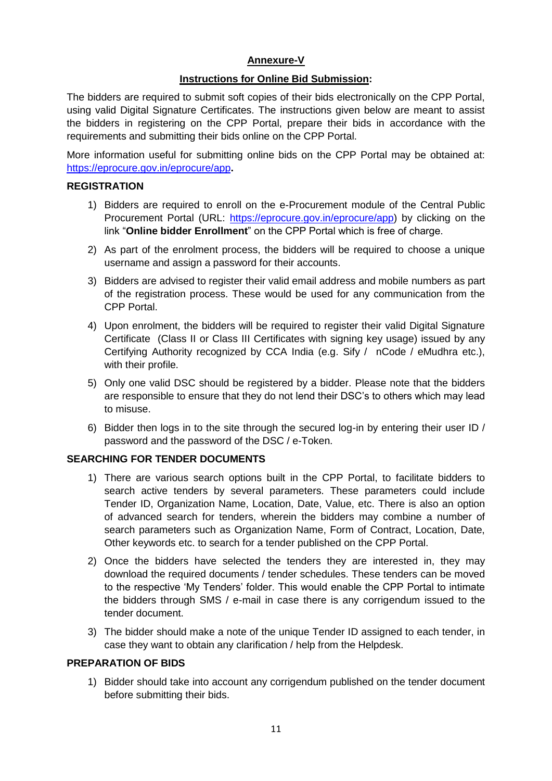# **Annexure-V**

# **Instructions for Online Bid Submission:**

The bidders are required to submit soft copies of their bids electronically on the CPP Portal, using valid Digital Signature Certificates. The instructions given below are meant to assist the bidders in registering on the CPP Portal, prepare their bids in accordance with the requirements and submitting their bids online on the CPP Portal.

More information useful for submitting online bids on the CPP Portal may be obtained at: <https://eprocure.gov.in/eprocure/app>**.**

#### **REGISTRATION**

- 1) Bidders are required to enroll on the e-Procurement module of the Central Public Procurement Portal (URL: [https://eprocure.gov.in/eprocure/app\)](https://eprocure.gov.in/eprocure/app) by clicking on the link "**Online bidder Enrollment**" on the CPP Portal which is free of charge.
- 2) As part of the enrolment process, the bidders will be required to choose a unique username and assign a password for their accounts.
- 3) Bidders are advised to register their valid email address and mobile numbers as part of the registration process. These would be used for any communication from the CPP Portal.
- 4) Upon enrolment, the bidders will be required to register their valid Digital Signature Certificate (Class II or Class III Certificates with signing key usage) issued by any Certifying Authority recognized by CCA India (e.g. Sify / nCode / eMudhra etc.), with their profile.
- 5) Only one valid DSC should be registered by a bidder. Please note that the bidders are responsible to ensure that they do not lend their DSC"s to others which may lead to misuse.
- 6) Bidder then logs in to the site through the secured log-in by entering their user ID / password and the password of the DSC / e-Token.

# **SEARCHING FOR TENDER DOCUMENTS**

- 1) There are various search options built in the CPP Portal, to facilitate bidders to search active tenders by several parameters. These parameters could include Tender ID, Organization Name, Location, Date, Value, etc. There is also an option of advanced search for tenders, wherein the bidders may combine a number of search parameters such as Organization Name, Form of Contract, Location, Date, Other keywords etc. to search for a tender published on the CPP Portal.
- 2) Once the bidders have selected the tenders they are interested in, they may download the required documents / tender schedules. These tenders can be moved to the respective "My Tenders" folder. This would enable the CPP Portal to intimate the bidders through SMS / e-mail in case there is any corrigendum issued to the tender document.
- 3) The bidder should make a note of the unique Tender ID assigned to each tender, in case they want to obtain any clarification / help from the Helpdesk.

#### **PREPARATION OF BIDS**

1) Bidder should take into account any corrigendum published on the tender document before submitting their bids.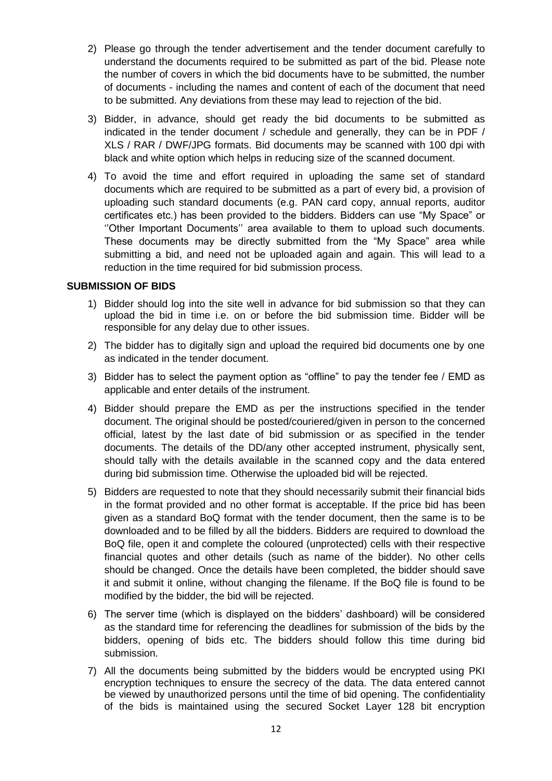- 2) Please go through the tender advertisement and the tender document carefully to understand the documents required to be submitted as part of the bid. Please note the number of covers in which the bid documents have to be submitted, the number of documents - including the names and content of each of the document that need to be submitted. Any deviations from these may lead to rejection of the bid.
- 3) Bidder, in advance, should get ready the bid documents to be submitted as indicated in the tender document / schedule and generally, they can be in PDF / XLS / RAR / DWF/JPG formats. Bid documents may be scanned with 100 dpi with black and white option which helps in reducing size of the scanned document.
- 4) To avoid the time and effort required in uploading the same set of standard documents which are required to be submitted as a part of every bid, a provision of uploading such standard documents (e.g. PAN card copy, annual reports, auditor certificates etc.) has been provided to the bidders. Bidders can use "My Space" or "Other Important Documents" area available to them to upload such documents. These documents may be directly submitted from the "My Space" area while submitting a bid, and need not be uploaded again and again. This will lead to a reduction in the time required for bid submission process.

#### **SUBMISSION OF BIDS**

- 1) Bidder should log into the site well in advance for bid submission so that they can upload the bid in time i.e. on or before the bid submission time. Bidder will be responsible for any delay due to other issues.
- 2) The bidder has to digitally sign and upload the required bid documents one by one as indicated in the tender document.
- 3) Bidder has to select the payment option as "offline" to pay the tender fee / EMD as applicable and enter details of the instrument.
- 4) Bidder should prepare the EMD as per the instructions specified in the tender document. The original should be posted/couriered/given in person to the concerned official, latest by the last date of bid submission or as specified in the tender documents. The details of the DD/any other accepted instrument, physically sent, should tally with the details available in the scanned copy and the data entered during bid submission time. Otherwise the uploaded bid will be rejected.
- 5) Bidders are requested to note that they should necessarily submit their financial bids in the format provided and no other format is acceptable. If the price bid has been given as a standard BoQ format with the tender document, then the same is to be downloaded and to be filled by all the bidders. Bidders are required to download the BoQ file, open it and complete the coloured (unprotected) cells with their respective financial quotes and other details (such as name of the bidder). No other cells should be changed. Once the details have been completed, the bidder should save it and submit it online, without changing the filename. If the BoQ file is found to be modified by the bidder, the bid will be rejected.
- 6) The server time (which is displayed on the bidders" dashboard) will be considered as the standard time for referencing the deadlines for submission of the bids by the bidders, opening of bids etc. The bidders should follow this time during bid submission.
- 7) All the documents being submitted by the bidders would be encrypted using PKI encryption techniques to ensure the secrecy of the data. The data entered cannot be viewed by unauthorized persons until the time of bid opening. The confidentiality of the bids is maintained using the secured Socket Layer 128 bit encryption